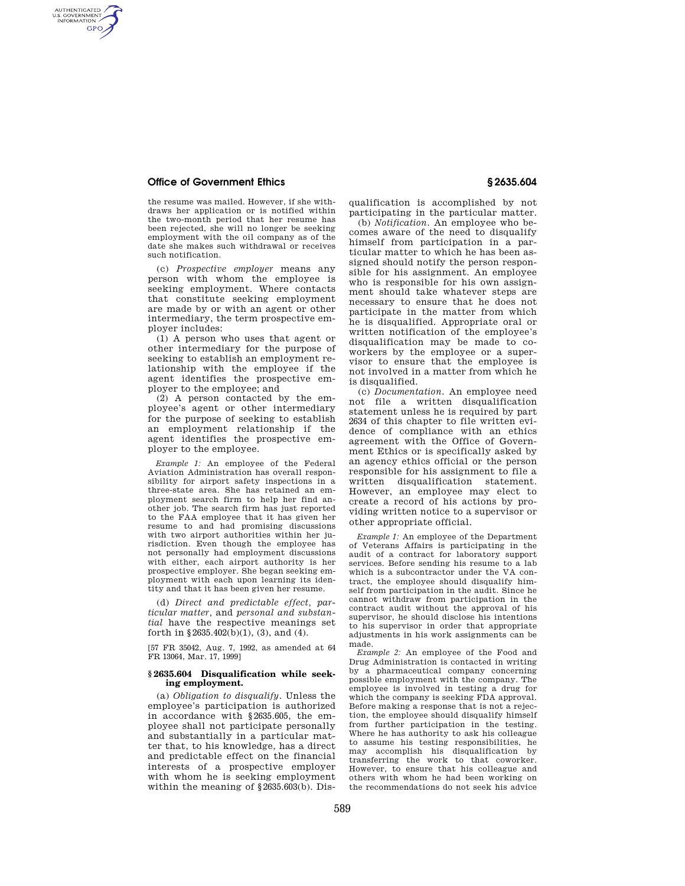# **Office of Government Ethics § 2635.604**

AUTHENTICATED<br>U.S. GOVERNMENT<br>INFORMATION **GPO** 

> the resume was mailed. However, if she withdraws her application or is notified within the two-month period that her resume has been rejected, she will no longer be seeking employment with the oil company as of the date she makes such withdrawal or receives such notification.

> (c) *Prospective employer* means any person with whom the employee is seeking employment. Where contacts that constitute seeking employment are made by or with an agent or other intermediary, the term prospective employer includes:

> (1) A person who uses that agent or other intermediary for the purpose of seeking to establish an employment relationship with the employee if the agent identifies the prospective employer to the employee; and

> (2) A person contacted by the employee's agent or other intermediary for the purpose of seeking to establish an employment relationship if the agent identifies the prospective employer to the employee.

> *Example 1:* An employee of the Federal Aviation Administration has overall responsibility for airport safety inspections in a three-state area. She has retained an employment search firm to help her find another job. The search firm has just reported to the FAA employee that it has given her resume to and had promising discussions with two airport authorities within her jurisdiction. Even though the employee has not personally had employment discussions with either, each airport authority is her prospective employer. She began seeking employment with each upon learning its identity and that it has been given her resume.

> (d) *Direct and predictable effect, particular matter,* and *personal and substantial* have the respective meanings set forth in  $$2635.402(b)(1), (3), and (4).$

> [57 FR 35042, Aug. 7, 1992, as amended at 64 FR 13064, Mar. 17, 1999]

## **§ 2635.604 Disqualification while seeking employment.**

(a) *Obligation to disqualify.* Unless the employee's participation is authorized in accordance with §2635.605, the employee shall not participate personally and substantially in a particular matter that, to his knowledge, has a direct and predictable effect on the financial interests of a prospective employer with whom he is seeking employment within the meaning of  $\S 2635.603(b)$ . Disqualification is accomplished by not participating in the particular matter.

(b) *Notification.* An employee who becomes aware of the need to disqualify himself from participation in a particular matter to which he has been assigned should notify the person responsible for his assignment. An employee who is responsible for his own assignment should take whatever steps are necessary to ensure that he does not participate in the matter from which he is disqualified. Appropriate oral or written notification of the employee's disqualification may be made to coworkers by the employee or a supervisor to ensure that the employee is not involved in a matter from which he is disqualified.

(c) *Documentation.* An employee need not file a written disqualification statement unless he is required by part 2634 of this chapter to file written evidence of compliance with an ethics agreement with the Office of Government Ethics or is specifically asked by an agency ethics official or the person responsible for his assignment to file a written disqualification statement. However, an employee may elect to create a record of his actions by providing written notice to a supervisor or other appropriate official.

*Example 1:* An employee of the Department of Veterans Affairs is participating in the audit of a contract for laboratory support services. Before sending his resume to a lab which is a subcontractor under the VA contract, the employee should disqualify himself from participation in the audit. Since he cannot withdraw from participation in the contract audit without the approval of his supervisor, he should disclose his intentions to his supervisor in order that appropriate adjustments in his work assignments can be made.

*Example 2:* An employee of the Food and Drug Administration is contacted in writing by a pharmaceutical company concerning possible employment with the company. The employee is involved in testing a drug for which the company is seeking FDA approval. Before making a response that is not a rejection, the employee should disqualify himself from further participation in the testing. Where he has authority to ask his colleague to assume his testing responsibilities, he may accomplish his disqualification by transferring the work to that coworker. However, to ensure that his colleague and others with whom he had been working on the recommendations do not seek his advice